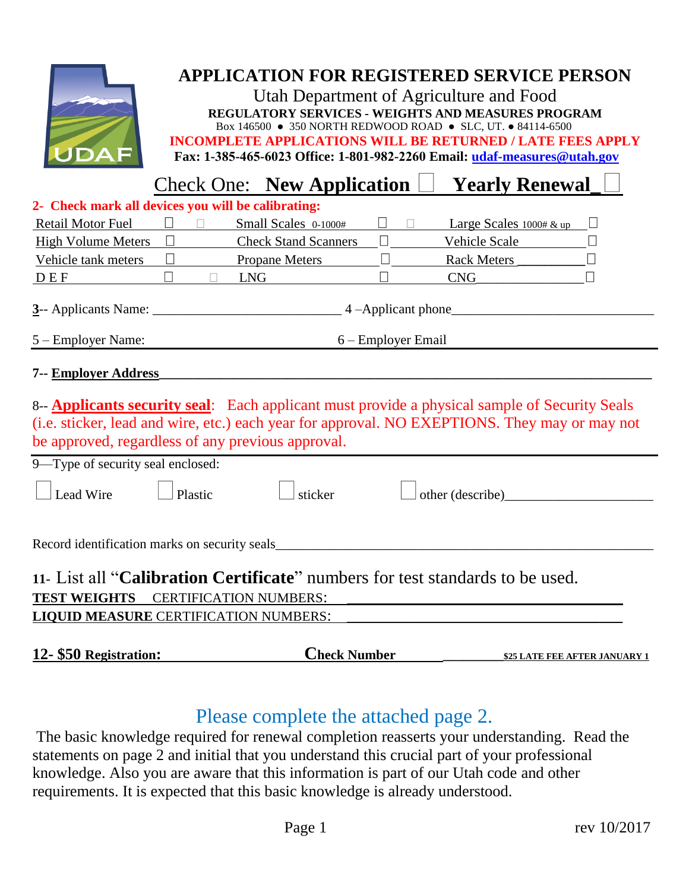

## **APPLICATION FOR REGISTERED SERVICE PERSON**

Utah Department of Agriculture and Food **REGULATORY SERVICES - WEIGHTS AND MEASURES PROGRAM**  Box 146500 ● 350 NORTH REDWOOD ROAD ● SLC, UT. ● 84114-6500 **INCOMPLETE APPLICATIONS WILL BE RETURNED / LATE FEES APPLY** 

**Fax: 1-385-465-6023 Office: 1-801-982-2260 Email: u[daf-measures@utah.gov](mailto:udaf-measures@utah.gov)**

|                                                                                                                                                                                                                                                                                                  | <b>Check One: New Application</b>                                 | <b>Yearly Renewal</b>                |
|--------------------------------------------------------------------------------------------------------------------------------------------------------------------------------------------------------------------------------------------------------------------------------------------------|-------------------------------------------------------------------|--------------------------------------|
| 2- Check mark all devices you will be calibrating:                                                                                                                                                                                                                                               |                                                                   |                                      |
| <b>Retail Motor Fuel</b>                                                                                                                                                                                                                                                                         | $\Box$ Small Scales 0-1000#<br>$\overline{\phantom{a}}$<br>$\Box$ | Large Scales $1000 \# \& \text{up}$  |
| $\Box$<br><b>High Volume Meters</b>                                                                                                                                                                                                                                                              | <b>Check Stand Scanners</b><br>$\Box$                             | Vehicle Scale                        |
| Vehicle tank meters<br>$\Box$                                                                                                                                                                                                                                                                    | <b>Propane Meters</b>                                             | Rack Meters                          |
| DEF<br>$\Box$                                                                                                                                                                                                                                                                                    | <b>LNG</b><br>П<br>$\Box$                                         | CNG                                  |
|                                                                                                                                                                                                                                                                                                  |                                                                   |                                      |
| 5 – Employer Name:                                                                                                                                                                                                                                                                               | 6 – Employer Email                                                |                                      |
| 7-- Employer Address                                                                                                                                                                                                                                                                             |                                                                   |                                      |
| 8-- <b>Applicants security seal</b> : Each applicant must provide a physical sample of Security Seals<br>(i.e. sticker, lead and wire, etc.) each year for approval. NO EXEPTIONS. They may or may not<br>be approved, regardless of any previous approval.<br>9—Type of security seal enclosed: |                                                                   |                                      |
| Lead Wire<br>Plastic                                                                                                                                                                                                                                                                             | sticker                                                           | other (describe)                     |
| Record identification marks on security seals                                                                                                                                                                                                                                                    |                                                                   |                                      |
| 11. List all " <b>Calibration Certificate</b> " numbers for test standards to be used.                                                                                                                                                                                                           |                                                                   |                                      |
| <b>TEST WEIGHTS</b><br><b>CERTIFICATION NUMBERS:</b>                                                                                                                                                                                                                                             |                                                                   |                                      |
| <b>LIQUID MEASURE CERTIFICATION NUMBERS:</b>                                                                                                                                                                                                                                                     |                                                                   |                                      |
| 12- \$50 Registration:                                                                                                                                                                                                                                                                           | <b>Check Number</b>                                               | <b>\$25 LATE FEE AFTER JANUARY 1</b> |

## Please complete the attached page 2.

The basic knowledge required for renewal completion reasserts your understanding. Read the statements on page 2 and initial that you understand this crucial part of your professional knowledge. Also you are aware that this information is part of our Utah code and other requirements. It is expected that this basic knowledge is already understood.